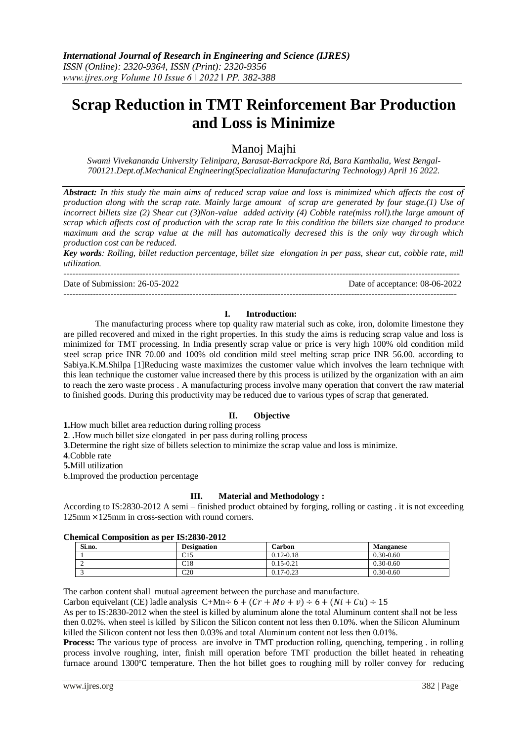# **Scrap Reduction in TMT Reinforcement Bar Production and Loss is Minimize**

Manoj Majhi

*Swami Vivekananda University Telinipara, Barasat-Barrackpore Rd, Bara Kanthalia, West Bengal-700121.Dept.of.Mechanical Engineering(Specialization Manufacturing Technology) April 16 2022.*

*Abstract: In this study the main aims of reduced scrap value and loss is minimized which affects the cost of production along with the scrap rate. Mainly large amount of scrap are generated by four stage.(1) Use of incorrect billets size (2) Shear cut (3)Non-value added activity (4) Cobble rate(miss roll).the large amount of scrap which affects cost of production with the scrap rate In this condition the billets size changed to produce maximum and the scrap value at the mill has automatically decresed this is the only way through which production cost can be reduced.*

*Key words: Rolling, billet reduction percentage, billet size elongation in per pass, shear cut, cobble rate, mill utilization.*

Date of Submission: 26-05-2022 Date of acceptance: 08-06-2022

---------------------------------------------------------------------------------------------------------------------------------------

--------------------------------------------------------------------------------------------------------------------------------------

## **I. Introduction:**

The manufacturing process where top quality raw material such as coke, iron, dolomite limestone they are pilled recovered and mixed in the right properties. In this study the aims is reducing scrap value and loss is minimized for TMT processing. In India presently scrap value or price is very high 100% old condition mild steel scrap price INR 70.00 and 100% old condition mild steel melting scrap price INR 56.00. according to Sabiya.K.M.Shilpa [1]Reducing waste maximizes the customer value which involves the learn technique with this lean technique the customer value increased there by this process is utilized by the organization with an aim to reach the zero waste process . A manufacturing process involve many operation that convert the raw material to finished goods. During this productivity may be reduced due to various types of scrap that generated.

# **II. Objective**

**1.**How much billet area reduction during rolling process

**2**. **.**How much billet size elongated in per pass during rolling process

**3**.Determine the right size of billets selection to minimize the scrap value and loss is minimize.

**4**.Cobble rate

**5.**Mill utilization

6.Improved the production percentage

# **III. Material and Methodology :**

According to IS:2830-2012 A semi – finished product obtained by forging, rolling or casting . it is not exceeding 125mm × 125mm in cross-section with round corners.

### **Chemical Composition as per IS:2830-2012**

| Si.no. | <b>Designation</b> | Carbon        | <b>Manganese</b> |
|--------|--------------------|---------------|------------------|
|        | C15                | $0.12 - 0.18$ | $0.30 - 0.60$    |
| ∼      | C18                | $0.15 - 0.21$ | $0.30 - 0.60$    |
|        | C20                | $0.17 - 0.23$ | $0.30 - 0.60$    |

The carbon content shall mutual agreement between the purchase and manufacture.

Carbon equivelant (CE) ladle analysis C+Mn÷ 6 +  $(Cr + Mo + v)$  ÷ 6 +  $(Ni + Cu)$  ÷ 15

As per to IS:2830-2012 when the steel is killed by aluminum alone the total Aluminum content shall not be less then 0.02%. when steel is killed by Silicon the Silicon content not less then 0.10%. when the Silicon Aluminum killed the Silicon content not less then 0.03% and total Aluminum content not less then 0.01%.

**Process:** The various type of process are involve in TMT production rolling, quenching, tempering . in rolling process involve roughing, inter, finish mill operation before TMT production the billet heated in reheating furnace around  $1300^{\circ}$ C temperature. Then the hot billet goes to roughing mill by roller convey for reducing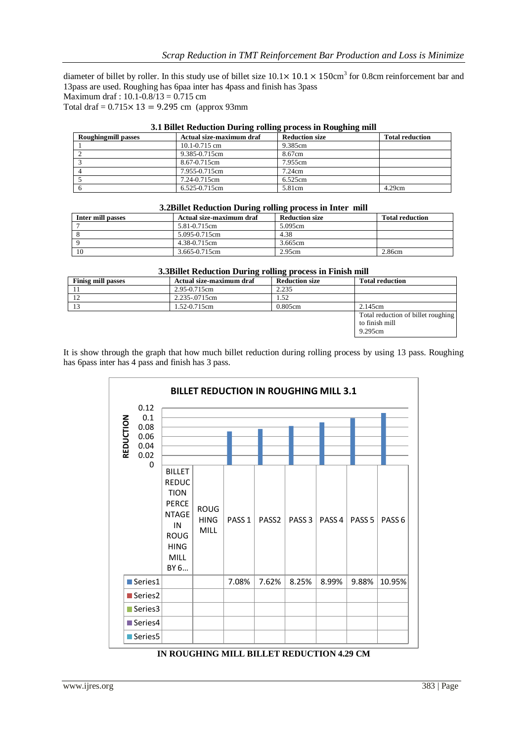diameter of billet by roller. In this study use of billet size  $10.1 \times 10.1 \times 150 \text{cm}^3$  for 0.8cm reinforcement bar and 13pass are used. Roughing has 6paa inter has 4pass and finish has 3pass Maximum draf : 10.1-0.8/13 = 0.715 cm

Total draf =  $0.715 \times 13 = 9.295$  cm (approx 93mm)

| on bine neugenon buring roung process in noughing min |                          |                       |                        |  |  |
|-------------------------------------------------------|--------------------------|-----------------------|------------------------|--|--|
| <b>Roughingmill passes</b>                            | Actual size-maximum draf | <b>Reduction size</b> | <b>Total reduction</b> |  |  |
|                                                       | $10.1 - 0.715$ cm        | 9.385cm               |                        |  |  |
|                                                       | 9.385-0.715cm            | 8.67cm                |                        |  |  |
|                                                       | 8.67-0.715cm             | 7.955cm               |                        |  |  |
|                                                       | 7.955-0.715cm            | 7.24cm                |                        |  |  |
|                                                       | 7.24-0.715cm             | 6.525cm               |                        |  |  |
| ∣ h                                                   | 6.525-0.715cm            | 5.81cm                | 4.29cm                 |  |  |

### **3.1 Billet Reduction During rolling process in Roughing mill**

### **3.2Billet Reduction During rolling process in Inter mill**

| -<br>. .          |                          |                       |                        |  |  |
|-------------------|--------------------------|-----------------------|------------------------|--|--|
| Inter mill passes | Actual size-maximum draf | <b>Reduction size</b> | <b>Total reduction</b> |  |  |
|                   | 5.81-0.715cm             | 5.095cm               |                        |  |  |
|                   | 5.095-0.715cm            | 4.38                  |                        |  |  |
|                   | 4.38-0.715cm             | 3.665cm               |                        |  |  |
| - 10              | 3.665-0.715cm            | 2.95cm                | 2.86cm                 |  |  |

#### **3.3Billet Reduction During rolling process in Finish mill**

| <b>Finisg mill passes</b> | Actual size-maximum draf | <b>Reduction size</b> | <b>Total reduction</b>                                          |  |  |
|---------------------------|--------------------------|-----------------------|-----------------------------------------------------------------|--|--|
|                           | 2.95-0.715cm             | 2.235                 |                                                                 |  |  |
| -12                       | 2.235-.0715cm            | l 52                  |                                                                 |  |  |
| -13                       | 1.52-0.715cm             | 0.805cm               | 2.145cm                                                         |  |  |
|                           |                          |                       | Total reduction of billet roughing<br>to finish mill<br>9.295cm |  |  |

It is show through the graph that how much billet reduction during rolling process by using 13 pass. Roughing has 6pass inter has 4 pass and finish has 3 pass.

| <b>BILLET REDUCTION IN ROUGHING MILL 3.1</b>                  |                                                                                                                                  |                                    |                   |                   |                   |        |                   |                   |
|---------------------------------------------------------------|----------------------------------------------------------------------------------------------------------------------------------|------------------------------------|-------------------|-------------------|-------------------|--------|-------------------|-------------------|
| 0.12<br>0.1<br>REDUCTION<br>0.08<br>0.06<br>0.04<br>0.02<br>0 |                                                                                                                                  |                                    |                   |                   |                   |        |                   |                   |
|                                                               | <b>BILLET</b><br><b>REDUC</b><br><b>TION</b><br><b>PERCE</b><br><b>NTAGE</b><br>IN<br><b>ROUG</b><br><b>HING</b><br>MILL<br>BY 6 | <b>ROUG</b><br><b>HING</b><br>MILL | PASS <sub>1</sub> | PASS <sub>2</sub> | PASS <sub>3</sub> | PASS 4 | PASS <sub>5</sub> | PASS <sub>6</sub> |
| Series1                                                       |                                                                                                                                  |                                    | 7.08%             | 7.62%             | 8.25%             | 8.99%  | 9.88%             | 10.95%            |
| Series <sub>2</sub>                                           |                                                                                                                                  |                                    |                   |                   |                   |        |                   |                   |
| Series3                                                       |                                                                                                                                  |                                    |                   |                   |                   |        |                   |                   |
| Series4                                                       |                                                                                                                                  |                                    |                   |                   |                   |        |                   |                   |
| Series5                                                       |                                                                                                                                  |                                    |                   |                   |                   |        |                   |                   |

### **IN ROUGHING MILL BILLET REDUCTION 4.29 CM**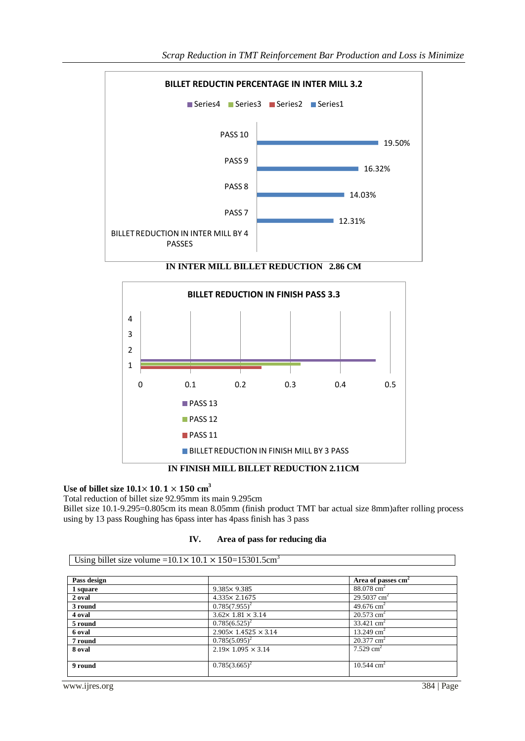

**IN FINISH MILL BILLET REDUCTION 2.11CM**

# Use of billet size  $10.1 \times 10.1 \times 150$   $\text{cm}^3$

Total reduction of billet size 92.95mm its main 9.295cm Billet size 10.1-9.295=0.805cm its mean 8.05mm (finish product TMT bar actual size 8mm)after rolling process using by 13 pass Roughing has 6pass inter has 4pass finish has 3 pass

| IV. |  |  |  | Area of pass for reducing dia |  |
|-----|--|--|--|-------------------------------|--|
|-----|--|--|--|-------------------------------|--|

| Using billet size volume = $10.1 \times 10.1 \times 150 = 15301.5 \text{cm}^3$ |                                   |                                |  |  |  |
|--------------------------------------------------------------------------------|-----------------------------------|--------------------------------|--|--|--|
|                                                                                |                                   |                                |  |  |  |
| Pass design                                                                    |                                   | Area of passes cm <sup>2</sup> |  |  |  |
| 1 square                                                                       | $9.385 \times 9.385$              | $88.078$ cm <sup>2</sup>       |  |  |  |
| 2 oval                                                                         | $4.335 \times 2.1675$             | 29.5037 $cm2$                  |  |  |  |
| 3 round                                                                        | $0.785(7.955)^2$                  | 49.676 cm <sup>2</sup>         |  |  |  |
| 4 oval                                                                         | $3.62 \times 1.81 \times 3.14$    | $20.573$ cm <sup>2</sup>       |  |  |  |
| 5 round                                                                        | $0.785(6.525)^2$                  | 33.421 $\text{cm}^2$           |  |  |  |
| 6 oval                                                                         | $2.905 \times 1.4525 \times 3.14$ | 13.249 $cm2$                   |  |  |  |
| 7 round                                                                        | $0.785(5.095)^2$                  | $20.377$ cm <sup>2</sup>       |  |  |  |
| 8 oval                                                                         | $2.19 \times 1.095 \times 3.14$   | 7.529 $cm2$                    |  |  |  |
|                                                                                |                                   |                                |  |  |  |
| 9 round                                                                        | $0.785(3.665)^2$                  | $10.544$ cm <sup>2</sup>       |  |  |  |
|                                                                                |                                   |                                |  |  |  |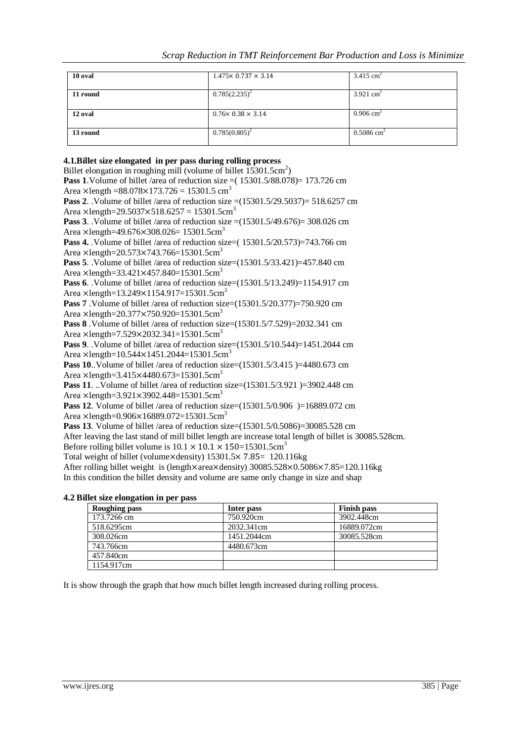| 10 oval  | $1.475 \times 0.737 \times 3.14$ | $3.415$ cm <sup>2</sup>  |
|----------|----------------------------------|--------------------------|
| 11 round | $0.785(2.235)^2$                 | 3.921 $\text{cm}^2$      |
| 12 oval  | $0.76 \times 0.38 \times 3.14$   | $0.906$ cm <sup>2</sup>  |
| 13 round | $0.785(0.805)^2$                 | $0.5086$ cm <sup>2</sup> |

# **4.1.Billet size elongated in per pass during rolling process** Billet elongation in roughing mill (volume of billet 15301.5cm<sup>2</sup>) **Pass 1**.Volume of billet /area of reduction size =( 15301.5/88.078)= 173.726 cm Area  $\times$ length =88.078 $\times$ 173.726 = 15301.5 cm<sup>3</sup> **Pass 2**. .Volume of billet /area of reduction size =(15301.5/29.5037)= 518.6257 cm Area  $\times$ length=29.5037 $\times$ 518.6257 = 15301.5cm<sup>3</sup> **Pass 3**. Volume of billet /area of reduction size  $=(15301.5/49.676) = 308.026$  cm Area  $\times$ length=49.676 $\times$ 308.026= 15301.5cm<sup>3</sup> **Pass 4.** .Volume of billet /area of reduction size=( 15301.5/20.573)=743.766 cm Area  $\times$ length=20.573 $\times$ 743.766=15301.5cm<sup>3</sup> **Pass 5**. Volume of billet /area of reduction size=(15301.5/33.421)=457.840 cm Area  $\times$ length=33.421 $\times$ 457.840=15301.5cm<sup>3</sup> **Pass 6**. Volume of billet /area of reduction size=(15301.5/13.249)=1154.917 cm Area  $\times$ length=13.249 $\times$ 1154.917=15301.5cm<sup>3</sup> **Pass 7** .Volume of billet /area of reduction size=(15301.5/20.377)=750.920 cm Area  $\times$ length=20.377 $\times$ 750.920=15301.5cm<sup>3</sup> **Pass 8** .Volume of billet /area of reduction size=(15301.5/7.529)=2032.341 cm Area ×length=7.529×2032.341=15301.5cm<sup>3</sup> **Pass 9**. .Volume of billet /area of reduction size=(15301.5/10.544)=1451.2044 cm Area  $\times$ length=10.544 $\times$ 1451.2044=15301.5cm<sup>3</sup> **Pass 10**.. Volume of billet /area of reduction size= $(15301.5/3.415)$  =4480.673 cm Area  $\times$ length=3.415 $\times$ 4480.673=15301.5cm<sup>3</sup> **Pass 11**. ..Volume of billet /area of reduction size=(15301.5/3.921)=3902.448 cm Area  $\times$ length=3.921 $\times$ 3902.448=15301.5cm<sup>3</sup> **Pass 12.** Volume of billet /area of reduction size=(15301.5/0.906 )=16889.072 cm Area  $\times$ length=0.906 $\times$ 16889.072=15301.5cm<sup>3</sup> **Pass 13**. Volume of billet /area of reduction size=(15301.5/0.5086)=30085.528 cm After leaving the last stand of mill billet length are increase total length of billet is 30085.528cm. Before rolling billet volume is  $10.1 \times 10.1 \times 150 = 15301.5 \text{cm}^3$ Total weight of billet (volume $\times$ density) 15301.5 $\times$  7.85 = 120.116kg After rolling billet weight is (length $\times$ area $\times$ density) 30085.528 $\times$ 0.5086 $\times$ 7.85=120.116kg In this condition the billet density and volume are same only change in size and shap

# **4.2 Billet size elongation in per pass**

| Roughing pass | Inter pass  | <b>Finish pass</b> |
|---------------|-------------|--------------------|
| 173.7266 cm   | 750.920cm   | 3902.448cm         |
| 518.6295cm    | 2032.341cm  | 16889.072cm        |
| 308.026cm     | 1451.2044cm | 30085.528cm        |
| 743.766cm     | 4480.673cm  |                    |
| 457.840cm     |             |                    |
| 1154.917cm    |             |                    |

It is show through the graph that how much billet length increased during rolling process.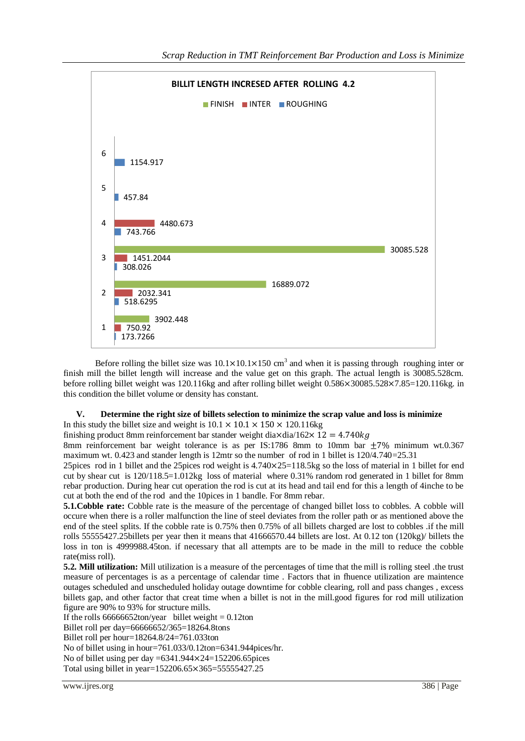

Before rolling the billet size was  $10.1 \times 10.1 \times 150$  cm<sup>3</sup> and when it is passing through roughing inter or finish mill the billet length will increase and the value get on this graph. The actual length is 30085.528cm. before rolling billet weight was 120.116kg and after rolling billet weight 0.586×30085.528×7.85=120.116kg. in this condition the billet volume or density has constant.

# **V. Determine the right size of billets selection to minimize the scrap value and loss is minimize**

In this study the billet size and weight is  $10.1 \times 10.1 \times 150 \times 120.116$ kg

finishing product 8mm reinforcement bar stander weight dia $\times$ dia/162 $\times$  12 = 4.740 $kg$ 

8mm reinforcement bar weight tolerance is as per IS:1786 8mm to 10mm bar  $\pm 7\%$  minimum wt.0.367 maximum wt. 0.423 and stander length is 12mtr so the number of rod in 1 billet is 120/4.740=25.31

25 pices rod in 1 billet and the 25 pices rod weight is  $4.740 \times 25 = 118.5$  kg so the loss of material in 1 billet for end cut by shear cut is 120/118.5=1.012kg loss of material where 0.31% random rod generated in 1 billet for 8mm rebar production. During hear cut operation the rod is cut at its head and tail end for this a length of 4inche to be cut at both the end of the rod and the 10pices in 1 bandle. For 8mm rebar.

**5.1. Cobble rate:** Cobble rate is the measure of the percentage of changed billet loss to cobbles. A cobble will occure when there is a roller malfunction the line of steel deviates from the roller path or as mentioned above the end of the steel splits. If the cobble rate is 0.75% then 0.75% of all billets charged are lost to cobbles .if the mill rolls 55555427.25billets per year then it means that 41666570.44 billets are lost. At 0.12 ton (120kg)/ billets the loss in ton is 4999988.45ton. if necessary that all attempts are to be made in the mill to reduce the cobble rate(miss roll).

**5.2. Mill utilization:** Mill utilization is a measure of the percentages of time that the mill is rolling steel .the trust measure of percentages is as a percentage of calendar time . Factors that in fhuence utilization are maintence outages scheduled and unscheduled holiday outage downtime for cobble clearing, roll and pass changes , excess billets gap, and other factor that creat time when a billet is not in the mill.good figures for rod mill utilization figure are 90% to 93% for structure mills.

If the rolls  $66666652$ ton/year billet weight = 0.12ton

Billet roll per day=66666652/365=18264.8tons

Billet roll per hour=18264.8/24=761.033ton

No of billet using in hour=761.033/0.12ton=6341.944pices/hr.

No of billet using per day  $=6341.944 \times 24 = 152206.65$  pices

Total using billet in year=152206.65×365=55555427.25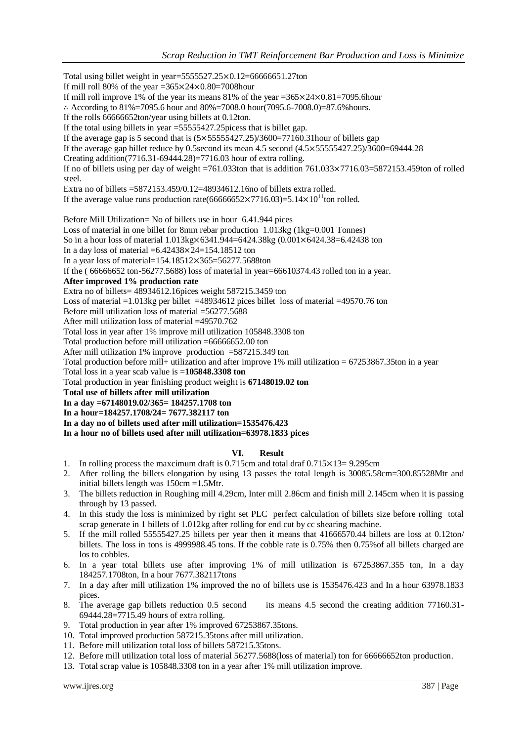Total using billet weight in year= $5555527.25 \times 0.12 = 66666651.27$ ton If mill roll 80% of the year = $365 \times 24 \times 0.80$ =7008hour If mill roll improve 1% of the year its means 81% of the year = $365 \times 24 \times 0.81 = 7095.6$  hour  $\therefore$  According to 81%=7095.6 hour and 80%=7008.0 hour(7095.6-7008.0)=87.6% hours. If the rolls 66666652ton/year using billets at 0.12ton. If the total using billets in year =55555427.25picess that is billet gap. If the average gap is 5 second that is  $(5 \times 55555427.25)/3600 = 77160.31$  hour of billets gap If the average gap billet reduce by 0.5second its mean 4.5 second  $(4.5 \times 55555427.25)/3600=69444.28$ Creating addition(7716.31-69444.28)=7716.03 hour of extra rolling. If no of billets using per day of weight =761.033ton that is addition  $761.033 \times 7716.03 = 5872153.459$ ton of rolled steel. Extra no of billets =5872153.459/0.12=48934612.16no of billets extra rolled. If the average value runs production rate(66666652×7716.03)=5.14×10<sup>11</sup>ton rolled. Before Mill Utilization= No of billets use in hour 6.41.944 pices Loss of material in one billet for 8mm rebar production 1.013kg (1kg=0.001 Tonnes) So in a hour loss of material  $1.013$ kg $\times$ 6341.944=6424.38kg (0.001 $\times$ 6424.38=6.42438 ton In a day loss of material  $=6.42438 \times 24 = 154.18512$  ton In a year loss of material=154.18512 $\times$ 365=56277.5688ton If the ( 66666652 ton-56277.5688) loss of material in year=66610374.43 rolled ton in a year. **After improved 1% production rate** Extra no of billets= 48934612.16pices weight 587215.3459 ton Loss of material =1.013kg per billet =48934612 pices billet loss of material =49570.76 ton Before mill utilization loss of material =56277.5688 After mill utilization loss of material =49570.762 Total loss in year after 1% improve mill utilization 105848.3308 ton Total production before mill utilization =66666652.00 ton After mill utilization 1% improve production =587215.349 ton Total production before mill+ utilization and after improve 1% mill utilization =  $67253867.35$ ton in a year Total loss in a year scab value is =**105848.3308 ton** Total production in year finishing product weight is **67148019.02 ton Total use of billets after mill utilization In a day =67148019.02/365= 184257.1708 ton In a hour=184257.1708/24= 7677.382117 ton In a day no of billets used after mill utilization=1535476.423**

# **In a hour no of billets used after mill utilization=63978.1833 pices**

# **VI. Result**

- 1. In rolling process the maxcimum draft is  $0.715cm$  and total draf  $0.715 \times 13= 9.295cm$
- 2. After rolling the billets elongation by using 13 passes the total length is 30085.58cm=300.85528Mtr and initial billets length was 150cm =1.5Mtr.
- 3. The billets reduction in Roughing mill 4.29cm, Inter mill 2.86cm and finish mill 2.145cm when it is passing through by 13 passed.
- 4. In this study the loss is minimized by right set PLC perfect calculation of billets size before rolling total scrap generate in 1 billets of 1.012kg after rolling for end cut by cc shearing machine.
- 5. If the mill rolled 55555427.25 billets per year then it means that 41666570.44 billets are loss at 0.12ton/ billets. The loss in tons is 4999988.45 tons. If the cobble rate is 0.75% then 0.75%of all billets charged are los to cobbles.
- 6. In a year total billets use after improving 1% of mill utilization is 67253867.355 ton, In a day 184257.1708ton, In a hour 7677.382117tons
- 7. In a day after mill utilization 1% improved the no of billets use is 1535476.423 and In a hour 63978.1833 pices.
- 8. The average gap billets reduction 0.5 second its means 4.5 second the creating addition 77160.31- 69444.28=7715.49 hours of extra rolling.
- 9. Total production in year after 1% improved 67253867.35tons.
- 10. Total improved production 587215.35tons after mill utilization.
- 11. Before mill utilization total loss of billets 587215.35tons.
- 12. Before mill utilization total loss of material 56277.5688(loss of material) ton for 66666652ton production.
- 13. Total scrap value is 105848.3308 ton in a year after 1% mill utilization improve.